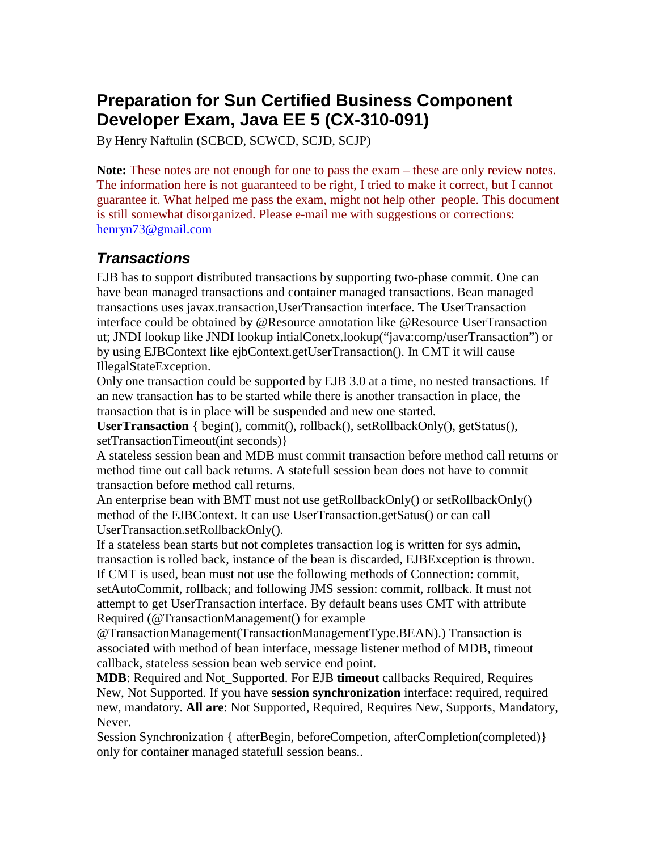# **Preparation for Sun Certified Business Component Developer Exam, Java EE 5 (CX-310-091)**

By Henry Naftulin (SCBCD, SCWCD, SCJD, SCJP)

Note: These notes are not enough for one to pass the exam – these are only review notes. The information here is not guaranteed to be right, I tried to make it correct, but I cannot guarantee it. What helped me pass the exam, might not help other people. This document is still somewhat disorganized. Please e-mail me with suggestions or corrections: henryn73@gmail.com

#### **Transactions**

EJB has to support distributed transactions by supporting two-phase commit. One can have bean managed transactions and container managed transactions. Bean managed transactions uses javax.transaction,UserTransaction interface. The UserTransaction interface could be obtained by @Resource annotation like @Resource UserTransaction ut; JNDI lookup like JNDI lookup intialConetx.lookup("java:comp/userTransaction") or by using EJBContext like ejbContext.getUserTransaction(). In CMT it will cause IllegalStateException.

Only one transaction could be supported by EJB 3.0 at a time, no nested transactions. If an new transaction has to be started while there is another transaction in place, the transaction that is in place will be suspended and new one started.

**UserTransaction** { begin(), commit(), rollback(), setRollbackOnly(), getStatus(), setTransactionTimeout(int seconds)}

A stateless session bean and MDB must commit transaction before method call returns or method time out call back returns. A statefull session bean does not have to commit transaction before method call returns.

An enterprise bean with BMT must not use getRollbackOnly() or setRollbackOnly() method of the EJBContext. It can use UserTransaction.getSatus() or can call UserTransaction.setRollbackOnly().

If a stateless bean starts but not completes transaction log is written for sys admin, transaction is rolled back, instance of the bean is discarded, EJBException is thrown. If CMT is used, bean must not use the following methods of Connection: commit, setAutoCommit, rollback; and following JMS session: commit, rollback. It must not attempt to get UserTransaction interface. By default beans uses CMT with attribute Required (@TransactionManagement() for example

@TransactionManagement(TransactionManagementType.BEAN).) Transaction is associated with method of bean interface, message listener method of MDB, timeout callback, stateless session bean web service end point.

**MDB**: Required and Not\_Supported. For EJB **timeout** callbacks Required, Requires New, Not Supported. If you have **session synchronization** interface: required, required new, mandatory. **All are**: Not Supported, Required, Requires New, Supports, Mandatory, Never.

Session Synchronization { afterBegin, beforeCompetion, afterCompletion(completed)} only for container managed statefull session beans..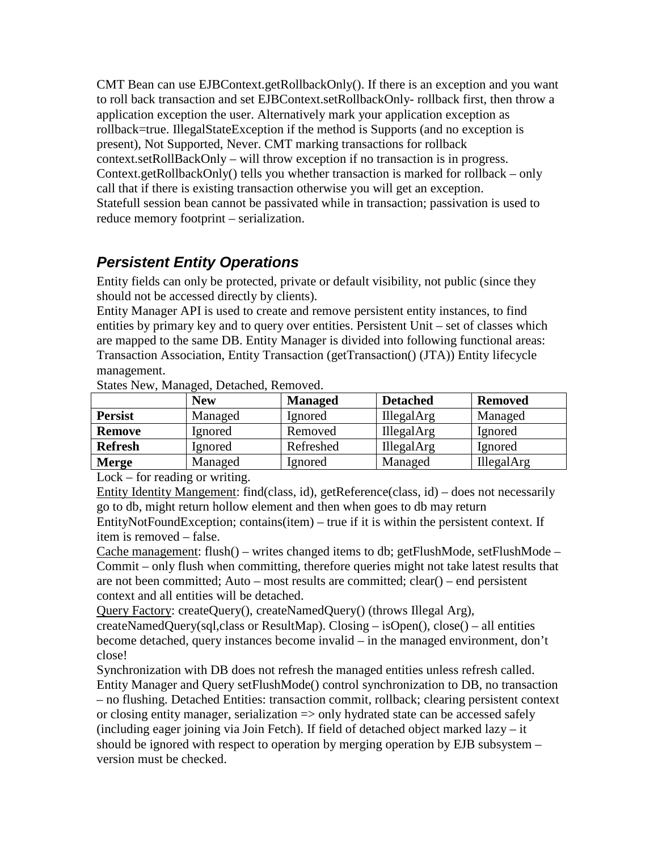CMT Bean can use EJBContext.getRollbackOnly(). If there is an exception and you want to roll back transaction and set EJBContext.setRollbackOnly- rollback first, then throw a application exception the user. Alternatively mark your application exception as rollback=true. IllegalStateException if the method is Supports (and no exception is present), Not Supported, Never. CMT marking transactions for rollback context.setRollBackOnly – will throw exception if no transaction is in progress. Context.getRollbackOnly() tells you whether transaction is marked for rollback – only call that if there is existing transaction otherwise you will get an exception. Statefull session bean cannot be passivated while in transaction; passivation is used to reduce memory footprint – serialization.

# **Persistent Entity Operations**

Entity fields can only be protected, private or default visibility, not public (since they should not be accessed directly by clients).

Entity Manager API is used to create and remove persistent entity instances, to find entities by primary key and to query over entities. Persistent Unit – set of classes which are mapped to the same DB. Entity Manager is divided into following functional areas: Transaction Association, Entity Transaction (getTransaction() (JTA)) Entity lifecycle management.

| $D$ and $D$ is $\mathcal{L}$ is a sequence of $\mathcal{L}$ . |            |                |                   |                   |  |
|---------------------------------------------------------------|------------|----------------|-------------------|-------------------|--|
|                                                               | <b>New</b> | <b>Managed</b> | <b>Detached</b>   | <b>Removed</b>    |  |
| <b>Persist</b>                                                | Managed    | Ignored        | <b>IllegalArg</b> | Managed           |  |
| <b>Remove</b>                                                 | Ignored    | Removed        | <b>IllegalArg</b> | Ignored           |  |
| <b>Refresh</b>                                                | Ignored    | Refreshed      | <b>IllegalArg</b> | Ignored           |  |
| <b>Merge</b>                                                  | Managed    | Ignored        | Managed           | <b>IllegalArg</b> |  |

States New, Managed, Detached, Removed.

Lock – for reading or writing.

Entity Identity Mangement: find(class, id), getReference(class, id) – does not necessarily go to db, might return hollow element and then when goes to db may return EntityNotFoundException; contains(item) – true if it is within the persistent context. If

item is removed – false.

Cache management: flush $()$  – writes changed items to db; getFlushMode, setFlushMode – Commit – only flush when committing, therefore queries might not take latest results that are not been committed; Auto – most results are committed; clear() – end persistent context and all entities will be detached.

Query Factory: createQuery(), createNamedQuery() (throws Illegal Arg),

createNamedQuery(sql,class or ResultMap). Closing – isOpen(), close() – all entities become detached, query instances become invalid – in the managed environment, don't close!

Synchronization with DB does not refresh the managed entities unless refresh called. Entity Manager and Query setFlushMode() control synchronization to DB, no transaction – no flushing. Detached Entities: transaction commit, rollback; clearing persistent context or closing entity manager, serialization => only hydrated state can be accessed safely (including eager joining via Join Fetch). If field of detached object marked lazy – it should be ignored with respect to operation by merging operation by EJB subsystem – version must be checked.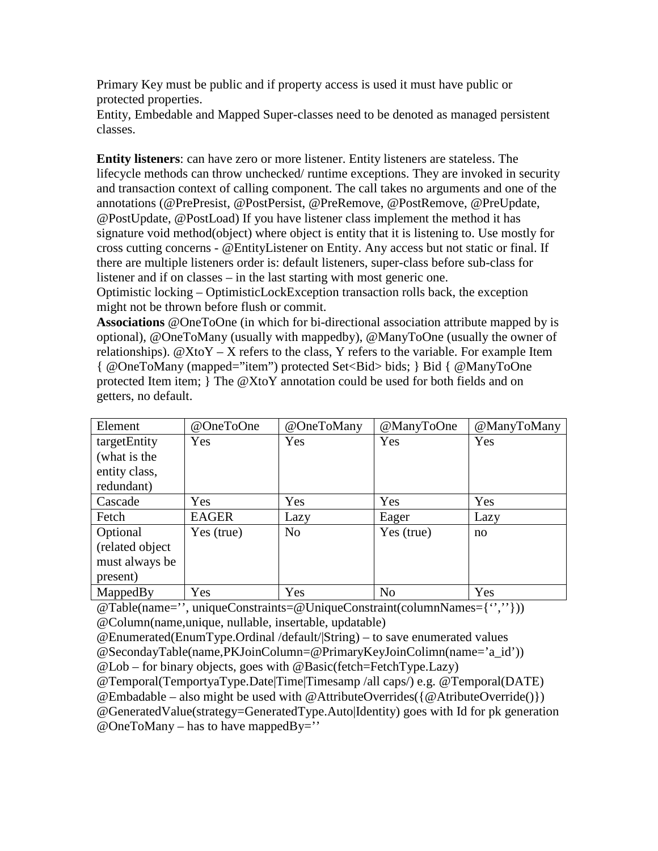Primary Key must be public and if property access is used it must have public or protected properties.

Entity, Embedable and Mapped Super-classes need to be denoted as managed persistent classes.

**Entity listeners**: can have zero or more listener. Entity listeners are stateless. The lifecycle methods can throw unchecked/ runtime exceptions. They are invoked in security and transaction context of calling component. The call takes no arguments and one of the annotations (@PrePresist, @PostPersist, @PreRemove, @PostRemove, @PreUpdate, @PostUpdate, @PostLoad) If you have listener class implement the method it has signature void method(object) where object is entity that it is listening to. Use mostly for cross cutting concerns - @EntityListener on Entity. Any access but not static or final. If there are multiple listeners order is: default listeners, super-class before sub-class for listener and if on classes – in the last starting with most generic one.

Optimistic locking – OptimisticLockException transaction rolls back, the exception might not be thrown before flush or commit.

**Associations** @OneToOne (in which for bi-directional association attribute mapped by is optional), @OneToMany (usually with mappedby), @ManyToOne (usually the owner of relationships).  $@X$ to $Y - X$  refers to the class, Y refers to the variable. For example Item { @OneToMany (mapped="item") protected Set<Bid> bids; } Bid { @ManyToOne protected Item item; } The @XtoY annotation could be used for both fields and on getters, no default.

| Element          | @OneToOne    | @OneToMany     | @ManyToOne     | @ManyToMany |
|------------------|--------------|----------------|----------------|-------------|
| targetEntity     | Yes          | Yes            | Yes            | Yes         |
| (what is the     |              |                |                |             |
| entity class,    |              |                |                |             |
| redundant)       |              |                |                |             |
| Cascade          | Yes          | Yes            | Yes            | Yes         |
| Fetch            | <b>EAGER</b> | Lazy           | Eager          | Lazy        |
| Optional         | Yes (true)   | N <sub>o</sub> | Yes (true)     | no          |
| (related object) |              |                |                |             |
| must always be   |              |                |                |             |
| present)         |              |                |                |             |
| MappedBy         | Yes          | Yes            | N <sub>o</sub> | Yes         |

@Table(name='', uniqueConstraints=@UniqueConstraint(columnNames={'',''})) @Column(name,unique, nullable, insertable, updatable)

@SecondayTable(name,PKJoinColumn=@PrimaryKeyJoinColimn(name='a\_id'))

@Lob – for binary objects, goes with @Basic(fetch=FetchType.Lazy)

@Temporal(TemportyaType.Date|Time|Timesamp /all caps/) e.g. @Temporal(DATE)

 $@Embadable - also might be used with @AttributeOverrides({@ArtributeOverride()})$ 

@GeneratedValue(strategy=GeneratedType.Auto|Identity) goes with Id for pk generation  $@OneToMany - has to have mapped By='$ 

<sup>@</sup>Enumerated(EnumType.Ordinal /default/|String) – to save enumerated values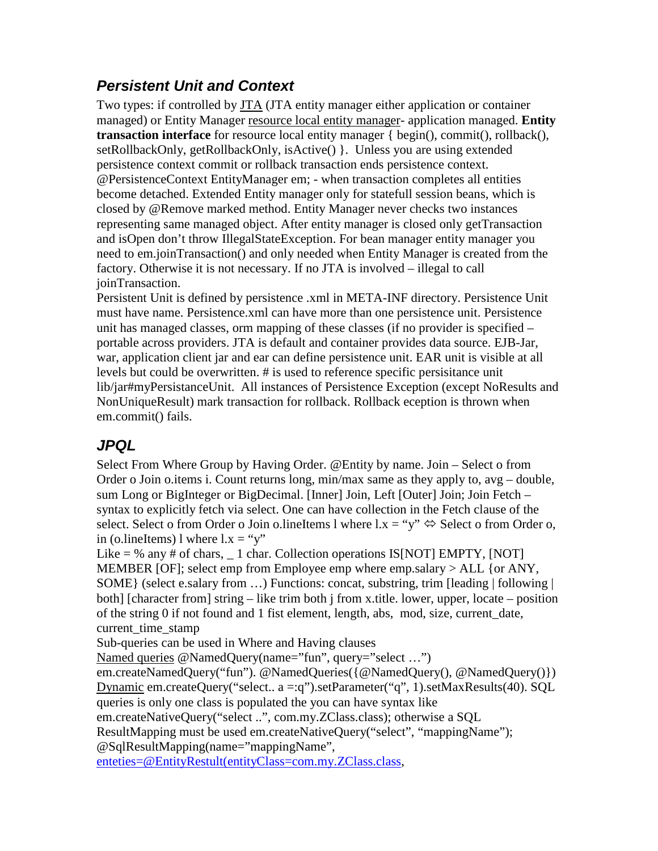# **Persistent Unit and Context**

Two types: if controlled by **JTA** (JTA entity manager either application or container managed) or Entity Manager resource local entity manager- application managed. **Entity transaction interface** for resource local entity manager { begin(), commit(), rollback(), setRollbackOnly, getRollbackOnly, isActive() }. Unless you are using extended persistence context commit or rollback transaction ends persistence context. @PersistenceContext EntityManager em; - when transaction completes all entities become detached. Extended Entity manager only for statefull session beans, which is closed by @Remove marked method. Entity Manager never checks two instances representing same managed object. After entity manager is closed only getTransaction and isOpen don't throw IllegalStateException. For bean manager entity manager you need to em.joinTransaction() and only needed when Entity Manager is created from the factory. Otherwise it is not necessary. If no JTA is involved – illegal to call joinTransaction.

Persistent Unit is defined by persistence .xml in META-INF directory. Persistence Unit must have name. Persistence.xml can have more than one persistence unit. Persistence unit has managed classes, orm mapping of these classes (if no provider is specified – portable across providers. JTA is default and container provides data source. EJB-Jar, war, application client jar and ear can define persistence unit. EAR unit is visible at all levels but could be overwritten. # is used to reference specific persisitance unit lib/jar#myPersistanceUnit. All instances of Persistence Exception (except NoResults and NonUniqueResult) mark transaction for rollback. Rollback eception is thrown when em.commit() fails.

### **JPQL**

Select From Where Group by Having Order. @Entity by name. Join – Select o from Order o Join o.items i. Count returns long, min/max same as they apply to, avg – double, sum Long or BigInteger or BigDecimal. [Inner] Join, Left [Outer] Join; Join Fetch – syntax to explicitly fetch via select. One can have collection in the Fetch clause of the select. Select o from Order o Join o.lineItems l where  $l.x = "y" \Leftrightarrow$  Select o from Order o, in (o.lineItems) l where  $l.x = "y"$ 

Like = % any # of chars,  $\angle$  1 char. Collection operations IS[NOT] EMPTY, [NOT] MEMBER [OF]; select emp from Employee emp where emp.salary > ALL {or ANY, SOME} (select e.salary from …) Functions: concat, substring, trim [leading | following | both] [character from] string – like trim both j from x.title. lower, upper, locate – position of the string 0 if not found and 1 fist element, length, abs, mod, size, current\_date, current time stamp

Sub-queries can be used in Where and Having clauses

Named queries @NamedQuery(name="fun", query="select …")

em.createNamedQuery("fun"). @NamedQueries({@NamedQuery(), @NamedQuery()}) Dynamic em.createQuery("select.. a =:q").setParameter("q", 1).setMaxResults(40). SQL queries is only one class is populated the you can have syntax like

em.createNativeQuery("select ..", com.my.ZClass.class); otherwise a SQL

ResultMapping must be used em.createNativeQuery("select", "mappingName");

@SqlResultMapping(name="mappingName",

enteties=@EntityRestult(entityClass=com.my.ZClass.class,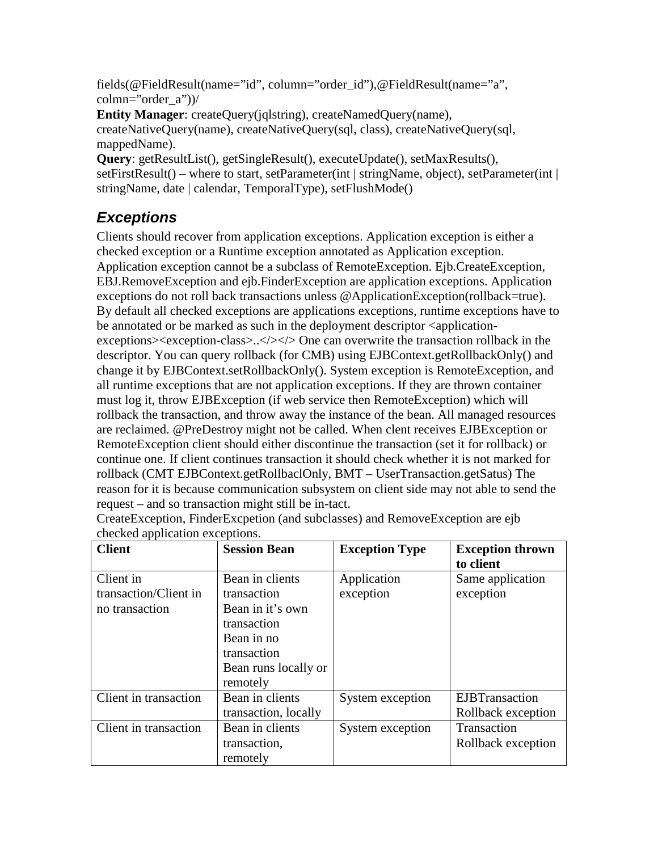fields(@FieldResult(name="id", column="order\_id"),@FieldResult(name="a", colmn="order $a$ "))/

**Entity Manager**: createQuery(jqlstring), createNamedQuery(name), createNativeQuery(name), createNativeQuery(sql, class), createNativeQuery(sql, mappedName).

**Query**: getResultList(), getSingleResult(), executeUpdate(), setMaxResults(), setFirstResult() – where to start, setParameter(int | stringName, object), setParameter(int | stringName, date | calendar, TemporalType), setFlushMode()

# **Exceptions**

Clients should recover from application exceptions. Application exception is either a checked exception or a Runtime exception annotated as Application exception. Application exception cannot be a subclass of RemoteException. Ejb.CreateException, EBJ.RemoveException and ejb.FinderException are application exceptions. Application exceptions do not roll back transactions unless @ApplicationException(rollback=true). By default all checked exceptions are applications exceptions, runtime exceptions have to be annotated or be marked as such in the deployment descriptor <applicationexceptions><exception-class>..</>>.</>></>>One can overwrite the transaction rollback in the descriptor. You can query rollback (for CMB) using EJBContext.getRollbackOnly() and change it by EJBContext.setRollbackOnly(). System exception is RemoteException, and all runtime exceptions that are not application exceptions. If they are thrown container must log it, throw EJBException (if web service then RemoteException) which will rollback the transaction, and throw away the instance of the bean. All managed resources are reclaimed. @PreDestroy might not be called. When clent receives EJBException or RemoteException client should either discontinue the transaction (set it for rollback) or continue one. If client continues transaction it should check whether it is not marked for rollback (CMT EJBContext.getRollbaclOnly, BMT – UserTransaction.getSatus) The reason for it is because communication subsystem on client side may not able to send the request – and so transaction might still be in-tact.

| <b>Client</b>                                        | <b>Session Bean</b>                                                                                                                | <b>Exception Type</b>    | <b>Exception thrown</b><br>to client         |
|------------------------------------------------------|------------------------------------------------------------------------------------------------------------------------------------|--------------------------|----------------------------------------------|
| Client in<br>transaction/Client in<br>no transaction | Bean in clients<br>transaction<br>Bean in it's own<br>transaction<br>Bean in no<br>transaction<br>Bean runs locally or<br>remotely | Application<br>exception | Same application<br>exception                |
| Client in transaction                                | Bean in clients<br>transaction, locally                                                                                            | System exception         | <b>EJBT</b> ransaction<br>Rollback exception |
| Client in transaction                                | Bean in clients<br>transaction,<br>remotely                                                                                        | System exception         | Transaction<br>Rollback exception            |

CreateException, FinderExcpetion (and subclasses) and RemoveException are ejb checked application exceptions.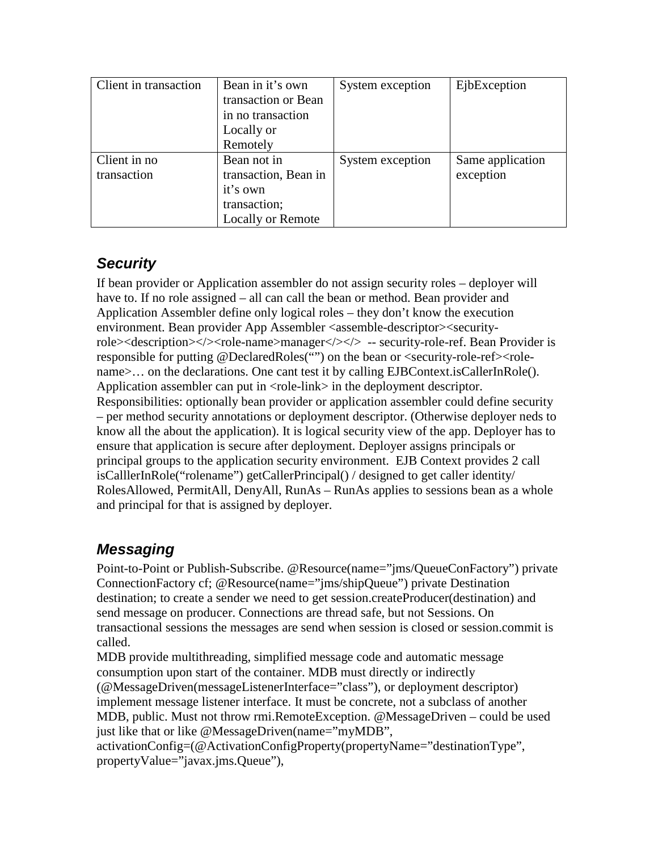| Client in transaction | Bean in it's own         | System exception | EjbException     |
|-----------------------|--------------------------|------------------|------------------|
|                       | transaction or Bean      |                  |                  |
|                       | in no transaction        |                  |                  |
|                       | Locally or               |                  |                  |
|                       | Remotely                 |                  |                  |
| Client in no.         | Bean not in              | System exception | Same application |
| transaction           | transaction, Bean in     |                  | exception        |
|                       | it's own                 |                  |                  |
|                       | transaction;             |                  |                  |
|                       | <b>Locally or Remote</b> |                  |                  |

### **Security**

If bean provider or Application assembler do not assign security roles – deployer will have to. If no role assigned – all can call the bean or method. Bean provider and Application Assembler define only logical roles – they don't know the execution environment. Bean provider App Assembler <assemble-descriptor><securityrole><description></>></ode-name>manager</></>><</>> -- security-role-ref. Bean Provider is responsible for putting @DeclaredRoles("") on the bean or <security-role-ref><rolename>... on the declarations. One cant test it by calling EJBContext.isCallerInRole(). Application assembler can put in <role-link> in the deployment descriptor. Responsibilities: optionally bean provider or application assembler could define security – per method security annotations or deployment descriptor. (Otherwise deployer neds to know all the about the application). It is logical security view of the app. Deployer has to ensure that application is secure after deployment. Deployer assigns principals or principal groups to the application security environment. EJB Context provides 2 call isCalllerInRole("rolename") getCallerPrincipal() / designed to get caller identity/ RolesAllowed, PermitAll, DenyAll, RunAs – RunAs applies to sessions bean as a whole and principal for that is assigned by deployer.

# **Messaging**

Point-to-Point or Publish-Subscribe. @Resource(name="jms/QueueConFactory") private ConnectionFactory cf; @Resource(name="jms/shipQueue") private Destination destination; to create a sender we need to get session.createProducer(destination) and send message on producer. Connections are thread safe, but not Sessions. On transactional sessions the messages are send when session is closed or session.commit is called.

MDB provide multithreading, simplified message code and automatic message consumption upon start of the container. MDB must directly or indirectly (@MessageDriven(messageListenerInterface="class"), or deployment descriptor) implement message listener interface. It must be concrete, not a subclass of another MDB, public. Must not throw rmi.RemoteException. @MessageDriven – could be used just like that or like @MessageDriven(name="myMDB",

activationConfig=(@ActivationConfigProperty(propertyName="destinationType", propertyValue="javax.jms.Queue"),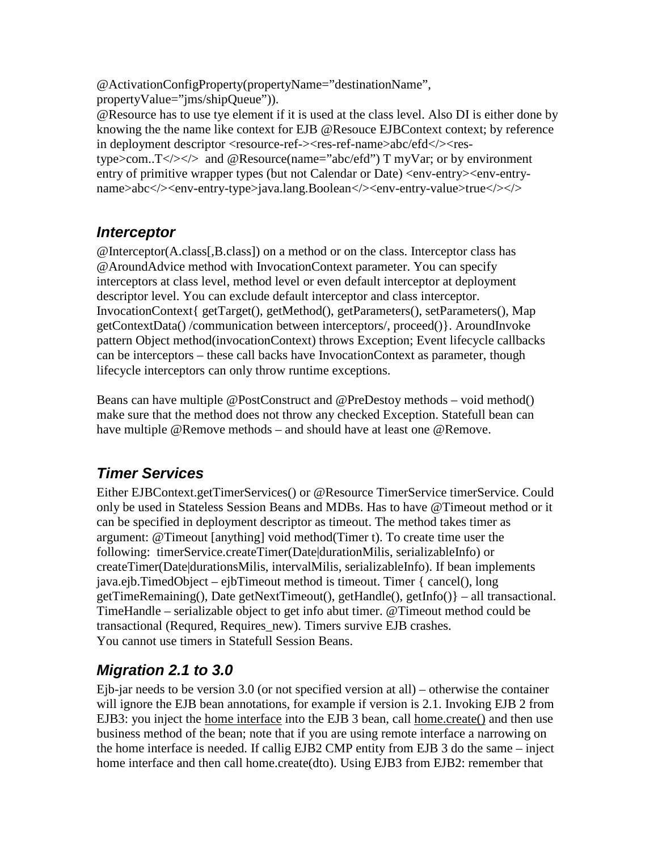@ActivationConfigProperty(propertyName="destinationName", propertyValue="jms/shipQueue")).

@Resource has to use tye element if it is used at the class level. Also DI is either done by knowing the the name like context for EJB @Resouce EJBContext context; by reference in deployment descriptor <resource-ref-><res-ref-name>abc/efd</></restype>com.. $T \langle \rangle \langle \rangle$  and @Resource(name="abc/efd") T myVar; or by environment entry of primitive wrapper types (but not Calendar or Date) <env-entry><env-entryname>abc</>></>><env-entry-type>java.lang.Boolean</></>><</></>env-entry-value>true</>

#### **Interceptor**

@Interceptor(A.class[,B.class]) on a method or on the class. Interceptor class has @AroundAdvice method with InvocationContext parameter. You can specify interceptors at class level, method level or even default interceptor at deployment descriptor level. You can exclude default interceptor and class interceptor. InvocationContext{ getTarget(), getMethod(), getParameters(), setParameters(), Map getContextData() /communication between interceptors/, proceed()}. AroundInvoke pattern Object method(invocationContext) throws Exception; Event lifecycle callbacks can be interceptors – these call backs have InvocationContext as parameter, though lifecycle interceptors can only throw runtime exceptions.

Beans can have multiple @PostConstruct and @PreDestoy methods – void method() make sure that the method does not throw any checked Exception. Statefull bean can have multiple @Remove methods – and should have at least one @Remove.

# **Timer Services**

Either EJBContext.getTimerServices() or @Resource TimerService timerService. Could only be used in Stateless Session Beans and MDBs. Has to have @Timeout method or it can be specified in deployment descriptor as timeout. The method takes timer as argument: @Timeout [anything] void method(Timer t). To create time user the following: timerService.createTimer(Date|durationMilis, serializableInfo) or createTimer(Date|durationsMilis, intervalMilis, serializableInfo). If bean implements java.ejb.TimedObject – ejbTimeout method is timeout. Timer { cancel(), long getTimeRemaining(), Date getNextTimeout(), getHandle(), getInfo()} – all transactional. TimeHandle – serializable object to get info abut timer. @Timeout method could be transactional (Requred, Requires\_new). Timers survive EJB crashes. You cannot use timers in Statefull Session Beans.

# **Migration 2.1 to 3.0**

Ejb-jar needs to be version 3.0 (or not specified version at all) – otherwise the container will ignore the EJB bean annotations, for example if version is 2.1. Invoking EJB 2 from EJB3: you inject the home interface into the EJB 3 bean, call home.create() and then use business method of the bean; note that if you are using remote interface a narrowing on the home interface is needed. If callig EJB2 CMP entity from EJB 3 do the same – inject home interface and then call home.create(dto). Using EJB3 from EJB2: remember that